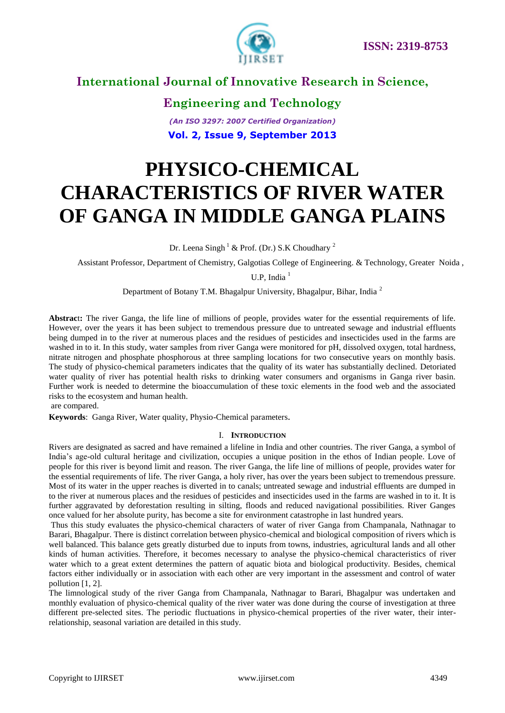

**Engineering and Technology** *(An ISO 3297: 2007 Certified Organization)* **Vol. 2, Issue 9, September 2013**

# **PHYSICO-CHEMICAL CHARACTERISTICS OF RIVER WATER OF GANGA IN MIDDLE GANGA PLAINS**

Dr. Leena Singh<sup>1</sup> & Prof. (Dr.) S.K Choudhary<sup>2</sup>

Assistant Professor, Department of Chemistry, Galgotias College of Engineering. & Technology, Greater Noida ,

U.P, India<sup>1</sup>

Department of Botany T.M. Bhagalpur University, Bhagalpur, Bihar, India <sup>2</sup>

**Abstrac**t**:** The river Ganga, the life line of millions of people, provides water for the essential requirements of life. However, over the years it has been subject to tremendous pressure due to untreated sewage and industrial effluents being dumped in to the river at numerous places and the residues of pesticides and insecticides used in the farms are washed in to it. In this study, water samples from river Ganga were monitored for pH, dissolved oxygen, total hardness, nitrate nitrogen and phosphate phosphorous at three sampling locations for two consecutive years on monthly basis. The study of physico-chemical parameters indicates that the quality of its water has substantially declined. Detoriated water quality of river has potential health risks to drinking water consumers and organisms in Ganga river basin. Further work is needed to determine the bioaccumulation of these toxic elements in the food web and the associated risks to the ecosystem and human health.

are compared.

**Keywords**: Ganga River, Water quality, Physio-Chemical parameters.

#### I. **INTRODUCTION**

Rivers are designated as sacred and have remained a lifeline in India and other countries. The river Ganga, a symbol of India's age-old cultural heritage and civilization, occupies a unique position in the ethos of Indian people. Love of people for this river is beyond limit and reason. The river Ganga, the life line of millions of people, provides water for the essential requirements of life. The river Ganga, a holy river, has over the years been subject to tremendous pressure. Most of its water in the upper reaches is diverted in to canals; untreated sewage and industrial effluents are dumped in to the river at numerous places and the residues of pesticides and insecticides used in the farms are washed in to it. It is further aggravated by deforestation resulting in silting, floods and reduced navigational possibilities. River Ganges once valued for her absolute purity, has become a site for environment catastrophe in last hundred years.

Thus this study evaluates the physico-chemical characters of water of river Ganga from Champanala, Nathnagar to Barari, Bhagalpur. There is distinct correlation between physico-chemical and biological composition of rivers which is well balanced. This balance gets greatly disturbed due to inputs from towns, industries, agricultural lands and all other kinds of human activities. Therefore, it becomes necessary to analyse the physico-chemical characteristics of river water which to a great extent determines the pattern of aquatic biota and biological productivity. Besides, chemical factors either individually or in association with each other are very important in the assessment and control of water pollution [1, 2].

The limnological study of the river Ganga from Champanala, Nathnagar to Barari, Bhagalpur was undertaken and monthly evaluation of physico-chemical quality of the river water was done during the course of investigation at three different pre-selected sites. The periodic fluctuations in physico-chemical properties of the river water, their interrelationship, seasonal variation are detailed in this study.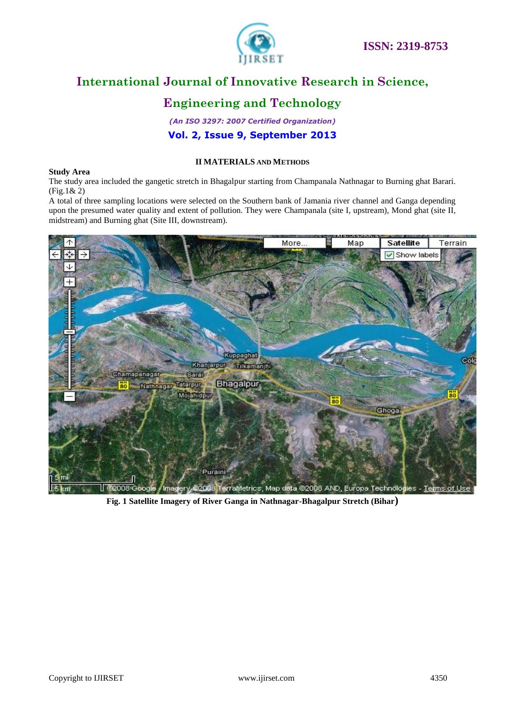

## **Engineering and Technology**

#### *(An ISO 3297: 2007 Certified Organization)* **Vol. 2, Issue 9, September 2013**

#### **II MATERIALS AND METHODS**

#### **Study Area**

The study area included the gangetic stretch in Bhagalpur starting from Champanala Nathnagar to Burning ghat Barari. (Fig.1& 2)

A total of three sampling locations were selected on the Southern bank of Jamania river channel and Ganga depending upon the presumed water quality and extent of pollution. They were Champanala (site I, upstream), Mond ghat (site II, midstream) and Burning ghat (Site III, downstream).



**Fig. 1 Satellite Imagery of River Ganga in Nathnagar-Bhagalpur Stretch (Bihar)**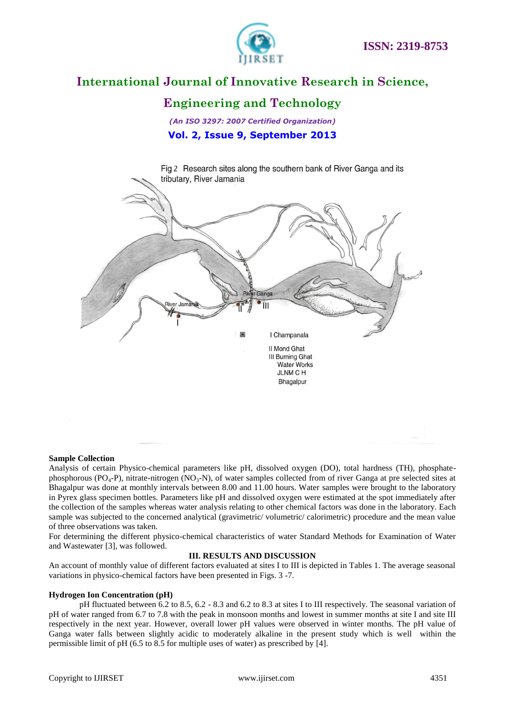

### **Engineering and Technology**

*(An ISO 3297: 2007 Certified Organization)* **Vol. 2, Issue 9, September 2013**



#### **Sample Collection**

Analysis of certain Physico-chemical parameters like pH, dissolved oxygen (DO), total hardness (TH), phosphatephosphorous (PO<sub>4</sub>-P), nitrate-nitrogen (NO<sub>3</sub>-N), of water samples collected from of river Ganga at pre selected sites at Bhagalpur was done at monthly intervals between 8.00 and 11.00 hours. Water samples were brought to the laboratory in Pyrex glass specimen bottles. Parameters like pH and dissolved oxygen were estimated at the spot immediately after the collection of the samples whereas water analysis relating to other chemical factors was done in the laboratory. Each sample was subjected to the concerned analytical (gravimetric/ volumetric/ calorimetric) procedure and the mean value of three observations was taken.

For determining the different physico-chemical characteristics of water Standard Methods for Examination of Water and Wastewater [3], was followed.

#### **III. RESULTS AND DISCUSSION**

An account of monthly value of different factors evaluated at sites I to III is depicted in Tables 1. The average seasonal variations in physico-chemical factors have been presented in Figs. 3 -7.

#### **Hydrogen Ion Concentration (pH)**

pH fluctuated between 6.2 to 8.5, 6.2 - 8.3 and 6.2 to 8.3 at sites I to III respectively. The seasonal variation of pH of water ranged from 6.7 to 7.8 with the peak in monsoon months and lowest in summer months at site I and site III respectively in the next year. However, overall lower pH values were observed in winter months. The pH value of Ganga water falls between slightly acidic to moderately alkaline in the present study which is well within the permissible limit of pH (6.5 to 8.5 for multiple uses of water) as prescribed by [4].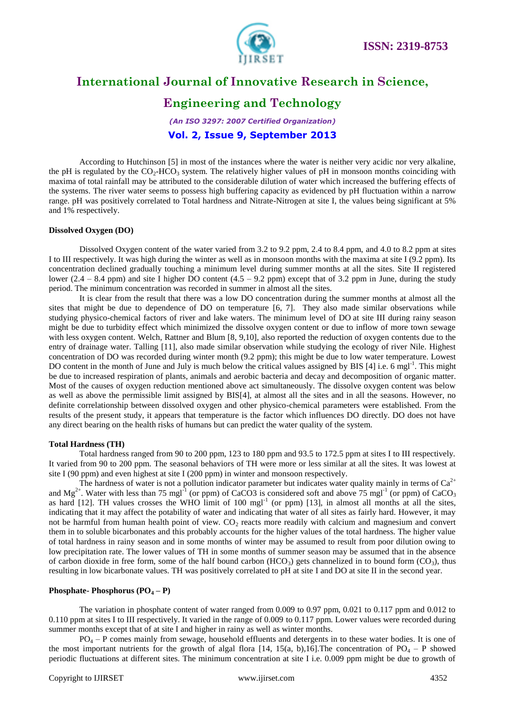

### **Engineering and Technology**

*(An ISO 3297: 2007 Certified Organization)* **Vol. 2, Issue 9, September 2013**

According to Hutchinson [5] in most of the instances where the water is neither very acidic nor very alkaline, the pH is regulated by the  $CO_2$ -HCO<sub>3</sub> system. The relatively higher values of pH in monsoon months coinciding with maxima of total rainfall may be attributed to the considerable dilution of water which increased the buffering effects of the systems. The river water seems to possess high buffering capacity as evidenced by pH fluctuation within a narrow range. pH was positively correlated to Total hardness and Nitrate-Nitrogen at site I, the values being significant at 5% and 1% respectively.

#### **Dissolved Oxygen (DO)**

Dissolved Oxygen content of the water varied from 3.2 to 9.2 ppm, 2.4 to 8.4 ppm, and 4.0 to 8.2 ppm at sites I to III respectively. It was high during the winter as well as in monsoon months with the maxima at site I (9.2 ppm). Its concentration declined gradually touching a minimum level during summer months at all the sites. Site II registered lower  $(2.4 - 8.4$  ppm) and site I higher DO content  $(4.5 - 9.2$  ppm) except that of 3.2 ppm in June, during the study period. The minimum concentration was recorded in summer in almost all the sites.

It is clear from the result that there was a low DO concentration during the summer months at almost all the sites that might be due to dependence of DO on temperature [6, 7]. They also made similar observations while studying physico-chemical factors of river and lake waters. The minimum level of DO at site III during rainy season might be due to turbidity effect which minimized the dissolve oxygen content or due to inflow of more town sewage with less oxygen content. Welch, Rattner and Blum [8, 9,10], also reported the reduction of oxygen contents due to the entry of drainage water. Talling [11], also made similar observation while studying the ecology of river Nile. Highest concentration of DO was recorded during winter month (9.2 ppm); this might be due to low water temperature. Lowest DO content in the month of June and July is much below the critical values assigned by BIS [4] i.e. 6 mgl<sup>-1</sup>. This might be due to increased respiration of plants, animals and aerobic bacteria and decay and decomposition of organic matter. Most of the causes of oxygen reduction mentioned above act simultaneously. The dissolve oxygen content was below as well as above the permissible limit assigned by BIS[4], at almost all the sites and in all the seasons. However, no definite correlationship between dissolved oxygen and other physico-chemical parameters were established. From the results of the present study, it appears that temperature is the factor which influences DO directly. DO does not have any direct bearing on the health risks of humans but can predict the water quality of the system.

#### **Total Hardness (TH)**

Total hardness ranged from 90 to 200 ppm, 123 to 180 ppm and 93.5 to 172.5 ppm at sites I to III respectively. It varied from 90 to 200 ppm. The seasonal behaviors of TH were more or less similar at all the sites. It was lowest at site I (90 ppm) and even highest at site I (200 ppm) in winter and monsoon respectively.

The hardness of water is not a pollution indicator parameter but indicates water quality mainly in terms of  $Ca^{2+}$ and  $Mg^{2+}$ . Water with less than 75 mgl<sup>-1</sup> (or ppm) of CaCO3 is considered soft and above 75 mgl<sup>-1</sup> (or ppm) of CaCO<sub>3</sub> as hard  $[12]$ . TH values crosses the WHO limit of 100 mgl<sup>-1</sup> (or ppm)  $[13]$ , in almost all months at all the sites, indicating that it may affect the potability of water and indicating that water of all sites as fairly hard. However, it may not be harmful from human health point of view.  $CO<sub>2</sub>$  reacts more readily with calcium and magnesium and convert them in to soluble bicarbonates and this probably accounts for the higher values of the total hardness. The higher value of total hardness in rainy season and in some months of winter may be assumed to result from poor dilution owing to low precipitation rate. The lower values of TH in some months of summer season may be assumed that in the absence of carbon dioxide in free form, some of the half bound carbon  $(HCO<sub>3</sub>)$  gets channelized in to bound form  $(CO<sub>3</sub>)$ , thus resulting in low bicarbonate values. TH was positively correlated to pH at site I and DO at site II in the second year.

#### **Phosphate- Phosphorus**  $(PO_4 - P)$

The variation in phosphate content of water ranged from 0.009 to 0.97 ppm, 0.021 to 0.117 ppm and 0.012 to 0.110 ppm at sites I to III respectively. It varied in the range of 0.009 to 0.117 ppm. Lower values were recorded during summer months except that of at site I and higher in rainy as well as winter months.

 $PQ_4 - P$  comes mainly from sewage, household effluents and detergents in to these water bodies. It is one of the most important nutrients for the growth of algal flora [14, 15(a, b),16]. The concentration of  $PQ_4 - P$  showed periodic fluctuations at different sites. The minimum concentration at site I i.e. 0.009 ppm might be due to growth of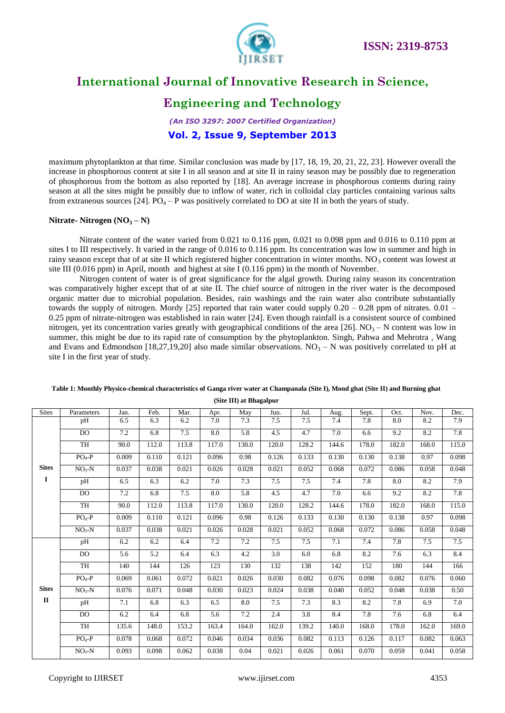

### **Engineering and Technology**

*(An ISO 3297: 2007 Certified Organization)* **Vol. 2, Issue 9, September 2013**

maximum phytoplankton at that time. Similar conclusion was made by [17, 18, 19, 20, 21, 22, 23]. However overall the increase in phosphorous content at site I in all season and at site II in rainy season may be possibly due to regeneration of phosphorous from the bottom as also reported by [18]. An average increase in phosphorous contents during rainy season at all the sites might be possibly due to inflow of water, rich in colloidal clay particles containing various salts from extraneous sources [24]. PO<sub>4</sub> – P was positively correlated to DO at site II in both the years of study.

#### **Nitrate- Nitrogen**  $(NO<sub>3</sub> – N)$

Nitrate content of the water varied from 0.021 to 0.116 ppm, 0.021 to 0.098 ppm and 0.016 to 0.110 ppm at sites I to III respectively. It varied in the range of 0.016 to 0.116 ppm. Its concentration was low in summer and high in rainy season except that of at site II which registered higher concentration in winter months.  $NO<sub>3</sub>$  content was lowest at site III  $(0.016$  ppm) in April, month and highest at site I $(0.116$  ppm) in the month of November.

Nitrogen content of water is of great significance for the algal growth. During rainy season its concentration was comparatively higher except that of at site II. The chief source of nitrogen in the river water is the decomposed organic matter due to microbial population. Besides, rain washings and the rain water also contribute substantially towards the supply of nitrogen. Mordy [25] reported that rain water could supply  $0.20 - 0.28$  ppm of nitrates.  $0.01 -$ 0.25 ppm of nitrate-nitrogen was established in rain water [24]. Even though rainfall is a consistent source of combined nitrogen, yet its concentration varies greatly with geographical conditions of the area [26].  $NO<sub>3</sub> - N$  content was low in summer, this might be due to its rapid rate of consumption by the phytoplankton. Singh, Pahwa and Mehrotra , Wang and Evans and Edmondson [18,27,19,20] also made similar observations.  $NO_3 - N$  was positively correlated to pH at site I in the first year of study.

| <b>Sites</b> | Parameters | Jan.    | Feb.  | Mar.    | Apr.  | May   | Jun.  | Jul.  | Aug.  | Sept. | Oct.  | Nov.  | Dec.  |
|--------------|------------|---------|-------|---------|-------|-------|-------|-------|-------|-------|-------|-------|-------|
|              | pH         | 6.5     | 6.3   | 6.2     | 7.0   | 7.3   | 7.5   | 7.5   | 7.4   | 7.8   | 8.0   | 8.2   | 7.9   |
|              | DO         | $7.2\,$ | 6.8   | $7.5\,$ | 8.0   | 5.8   | 4.5   | 4.7   | 7.0   | 6.6   | 9.2   | 8.2   | 7.8   |
|              | TH         | 90.0    | 112.0 | 113.8   | 117.0 | 130.0 | 120.0 | 128.2 | 144.6 | 178.0 | 182.0 | 168.0 | 115.0 |
|              | $PO4-P$    | 0.009   | 0.110 | 0.121   | 0.096 | 0.98  | 0.126 | 0.133 | 0.130 | 0.130 | 0.138 | 0.97  | 0.098 |
| <b>Sites</b> | $NO3-N$    | 0.037   | 0.038 | 0.021   | 0.026 | 0.028 | 0.021 | 0.052 | 0.068 | 0.072 | 0.086 | 0.058 | 0.048 |
| 1            | pH         | 6.5     | 6.3   | 6.2     | 7.0   | 7.3   | 7.5   | 7.5   | 7.4   | 7.8   | 8.0   | 8.2   | 7.9   |
|              | <b>DO</b>  | 7.2     | 6.8   | 7.5     | 8.0   | 5.8   | 4.5   | 4.7   | 7.0   | 6.6   | 9.2   | 8.2   | 7.8   |
|              | <b>TH</b>  | 90.0    | 112.0 | 113.8   | 117.0 | 130.0 | 120.0 | 128.2 | 144.6 | 178.0 | 182.0 | 168.0 | 115.0 |
|              | $PO4-P$    | 0.009   | 0.110 | 0.121   | 0.096 | 0.98  | 0.126 | 0.133 | 0.130 | 0.130 | 0.138 | 0.97  | 0.098 |
|              | $NO3-N$    | 0.037   | 0.038 | 0.021   | 0.026 | 0.028 | 0.021 | 0.052 | 0.068 | 0.072 | 0.086 | 0.058 | 0.048 |
|              | pH         | 6.2     | 6.2   | 6.4     | 7.2   | 7.2   | 7.5   | 7.5   | 7.1   | 7.4   | 7.8   | 7.5   | 7.5   |
|              | DO.        | 5.6     | 5.2   | 6.4     | 6.3   | 4.2   | 3.0   | 6.0   | 6.8   | 8.2   | 7.6   | 6.3   | 8.4   |
|              | TH         | 140     | 144   | 126     | 123   | 130   | 132   | 138   | 142   | 152   | 180   | 144   | 166   |
|              | $PO4-P$    | 0.069   | 0.061 | 0.072   | 0.021 | 0.026 | 0.030 | 0.082 | 0.076 | 0.098 | 0.082 | 0.076 | 0.060 |
| <b>Sites</b> | $NO3-N$    | 0.076   | 0.071 | 0.048   | 0.030 | 0.023 | 0.024 | 0.038 | 0.040 | 0.052 | 0.048 | 0.038 | 0.50  |
| $\mathbf{I}$ | pH         | 7.1     | 6.8   | 6.3     | 6.5   | 8.0   | 7.5   | 7.3   | 8.3   | 8.2   | 7.8   | 6.9   | 7.0   |
|              | DO         | 6.2     | 6.4   | 6.8     | 5.6   | 7.2   | 2.4   | 3.8   | 8.4   | 7.8   | 7.6   | 6.8   | 6.4   |
|              | TH         | 135.6   | 148.0 | 153.2   | 163.4 | 164.0 | 162.0 | 139.2 | 140.0 | 168.0 | 178.0 | 162.0 | 169.0 |
|              | $PO4-P$    | 0.078   | 0.068 | 0.072   | 0.046 | 0.034 | 0.036 | 0.082 | 0.113 | 0.126 | 0.117 | 0.082 | 0.063 |
|              | $NO3-N$    | 0.093   | 0.098 | 0.062   | 0.038 | 0.04  | 0.021 | 0.026 | 0.061 | 0.070 | 0.059 | 0.041 | 0.058 |

#### **Table 1: Monthly Physico-chemical characteristics of Ganga river water at Champanala (Site I), Mond ghat (Site II) and Burning ghat (Site III) at Bhagalpur**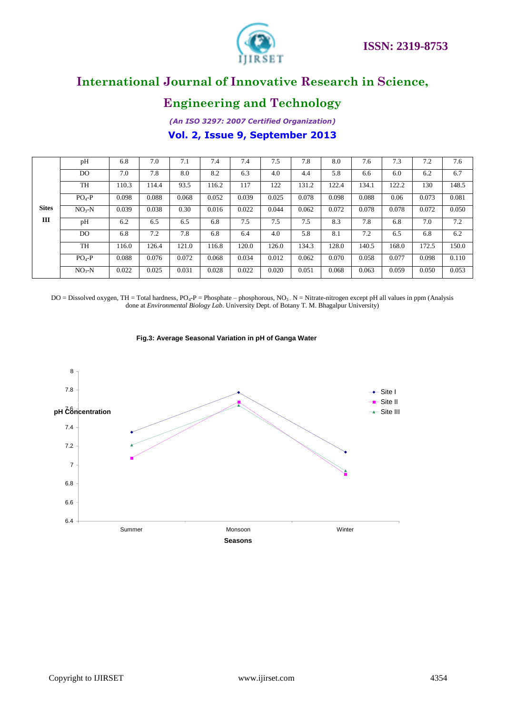



### **Engineering and Technology**

*(An ISO 3297: 2007 Certified Organization)* **Vol. 2, Issue 9, September 2013**

|              | pH             | 6.8   | 7.0   | 7.1   | 7.4   | 7.4   | 7.5   | 7.8   | 8.0   | 7.6   | 7.3   | 7.2   | 7.6   |
|--------------|----------------|-------|-------|-------|-------|-------|-------|-------|-------|-------|-------|-------|-------|
|              | DO             | 7.0   | 7.8   | 8.0   | 8.2   | 6.3   | 4.0   | 4.4   | 5.8   | 6.6   | 6.0   | 6.2   | 6.7   |
|              | <b>TH</b>      | 110.3 | 114.4 | 93.5  | 116.2 | 117   | 122   | 131.2 | 122.4 | 134.1 | 122.2 | 130   | 148.5 |
|              | $PO4-P$        | 0.098 | 0.088 | 0.068 | 0.052 | 0.039 | 0.025 | 0.078 | 0.098 | 0.088 | 0.06  | 0.073 | 0.081 |
| <b>Sites</b> | $NO3-N$        | 0.039 | 0.038 | 0.30  | 0.016 | 0.022 | 0.044 | 0.062 | 0.072 | 0.078 | 0.078 | 0.072 | 0.050 |
| Ш            | pH             | 6.2   | 6.5   | 6.5   | 6.8   | 7.5   | 7.5   | 7.5   | 8.3   | 7.8   | 6.8   | 7.0   | 7.2   |
|              | D <sub>O</sub> | 6.8   | 7.2   | 7.8   | 6.8   | 6.4   | 4.0   | 5.8   | 8.1   | 7.2   | 6.5   | 6.8   | 6.2   |
|              | TH             | 116.0 | 126.4 | 121.0 | 116.8 | 120.0 | 126.0 | 134.3 | 128.0 | 140.5 | 168.0 | 172.5 | 150.0 |
|              | $PO4-P$        | 0.088 | 0.076 | 0.072 | 0.068 | 0.034 | 0.012 | 0.062 | 0.070 | 0.058 | 0.077 | 0.098 | 0.110 |
|              | $NO3-N$        | 0.022 | 0.025 | 0.031 | 0.028 | 0.022 | 0.020 | 0.051 | 0.068 | 0.063 | 0.059 | 0.050 | 0.053 |

DO = Dissolved oxygen, TH = Total hardness, PO<sub>4</sub>-P = Phosphate – phosphorous, NO<sub>3</sub>. N = Nitrate-nitrogen except pH all values in ppm (Analysis done at *Environmental Biology Lab*. University Dept. of Botany T. M. Bhagalpur University)



**Fig.3: Average Seasonal Variation in pH of Ganga Water**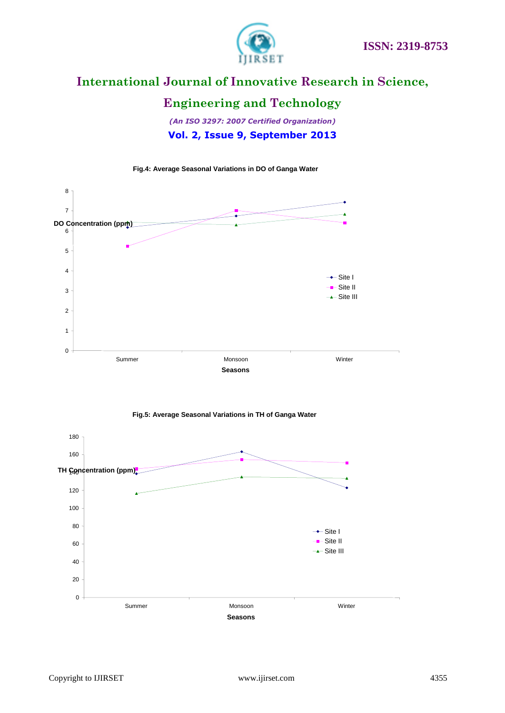

### **Engineering and Technology**

*(An ISO 3297: 2007 Certified Organization)* **Vol. 2, Issue 9, September 2013**

**Fig.4: Average Seasonal Variations in DO of Ganga Water** 





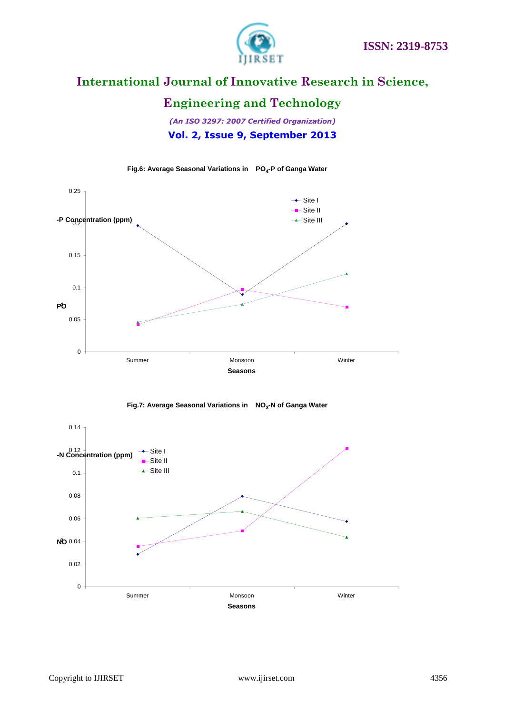

### **Engineering and Technology**

*(An ISO 3297: 2007 Certified Organization)* **Vol. 2, Issue 9, September 2013**



**Fig.6: Average Seasonal Variations in PO<sup>4</sup> -P of Ganga Water**